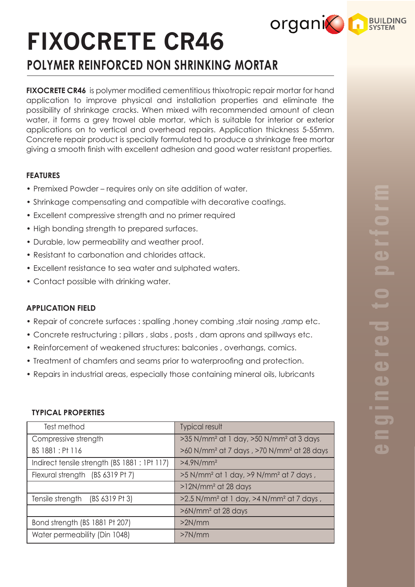## **organic RESILIPING**

# **FIXOCRETE CR46**

**POLYMER REINFORCED NON SHRINKING MORTAR**

**FIXOCRETE CR46** is polymer modified cementitious thixotropic repair mortar for hand application to improve physical and installation properties and eliminate the possibility of shrinkage cracks. When mixed with recommended amount of clean water, it forms a grey trowel able mortar, which is suitable for interior or exterior applications on to vertical and overhead repairs. Application thickness 5-55mm. Concrete repair product is specially formulated to produce a shrinkage free mortar giving a smooth finish with excellent adhesion and good water resistant properties.

#### **FEATURES**

- Premixed Powder requires only on site addition of water.
- Shrinkage compensating and compatible with decorative coatings.
- Excellent compressive strength and no primer required
- High bonding strength to prepared surfaces.
- Durable, low permeability and weather proof.
- Resistant to carbonation and chlorides attack.
- Excellent resistance to sea water and sulphated waters.
- Contact possible with drinking water.

#### **APPLICATION FIELD**

- Repair of concrete surfaces : spalling ,honey combing ,stair nosing ,ramp etc.
- Concrete restructuring : pillars , slabs , posts , dam aprons and spillways etc.
- Reinforcement of weakened structures: balconies , overhangs, comics.
- Treatment of chamfers and seams prior to waterproofing and protection.
- Repairs in industrial areas, especially those containing mineral oils, lubricants

#### **TYPICAL PROPERTIES**

| Test method                                   | <b>Typical result</b>                                             |
|-----------------------------------------------|-------------------------------------------------------------------|
| Compressive strength                          | >35 N/mm <sup>2</sup> at 1 day, >50 N/mm <sup>2</sup> at 3 days   |
| BS 1881 : Pt 116                              | >60 N/mm <sup>2</sup> at 7 days, >70 N/mm <sup>2</sup> at 28 days |
| Indirect tensile strength (BS 1881 : 1Pt 117) | $>4.9N/mm2$                                                       |
| Flexural strength (BS 6319 Pt 7)              | >5 N/mm <sup>2</sup> at 1 day, >9 N/mm <sup>2</sup> at 7 days,    |
|                                               | $>12N/mm2$ at 28 days                                             |
| Tensile strength (BS 6319 Pt 3)               | >2.5 N/mm <sup>2</sup> at 1 day, >4 N/mm <sup>2</sup> at 7 days,  |
|                                               | $>6N/mm^2$ at 28 days                                             |
| Bond strength (BS 1881 Pt 207)                | >2N/mm                                                            |
| Water permeability (Din 1048)                 | >7N/mm                                                            |